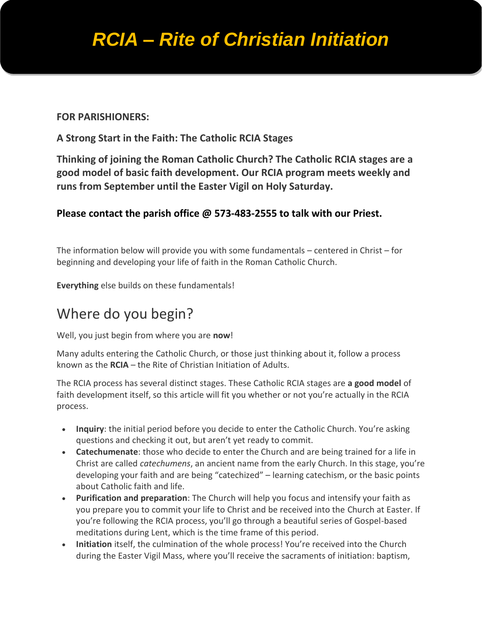# *RCIA – Rite of Christian Initiation*

#### **FOR PARISHIONERS:**

#### **A Strong Start in the Faith: The Catholic RCIA Stages**

**Thinking of joining the Roman Catholic Church? The Catholic RCIA stages are a good model of basic faith development. Our RCIA program meets weekly and runs from September until the Easter Vigil on Holy Saturday.**

#### **Please contact the parish office @ 573-483-2555 to talk with our Priest.**

The information below will provide you with some fundamentals – centered in Christ – for beginning and developing your life of faith in the Roman Catholic Church.

**Everything** else builds on these fundamentals!

### Where do you begin?

Well, you just begin from where you are **now**!

Many adults entering the Catholic Church, or those just thinking about it, follow a process known as the **RCIA** – the Rite of Christian Initiation of Adults.

The RCIA process has several distinct stages. These Catholic RCIA stages are **a good model** of faith development itself, so this article will fit you whether or not you're actually in the RCIA process.

- **Inquiry**: the initial period before you decide to enter the Catholic Church. You're asking questions and checking it out, but aren't yet ready to commit.
- **Catechumenate**: those who decide to enter the Church and are being trained for a life in Christ are called *catechumens*, an ancient name from the early Church. In this stage, you're developing your faith and are being "catechized" – learning catechism, or the basic points about Catholic faith and life.
- **Purification and preparation**: The Church will help you focus and intensify your faith as you prepare you to commit your life to Christ and be received into the Church at Easter. If you're following the RCIA process, you'll go through a beautiful series of Gospel-based meditations during Lent, which is the time frame of this period.
- **Initiation** itself, the culmination of the whole process! You're received into the Church during the Easter Vigil Mass, where you'll receive the sacraments of initiation: baptism,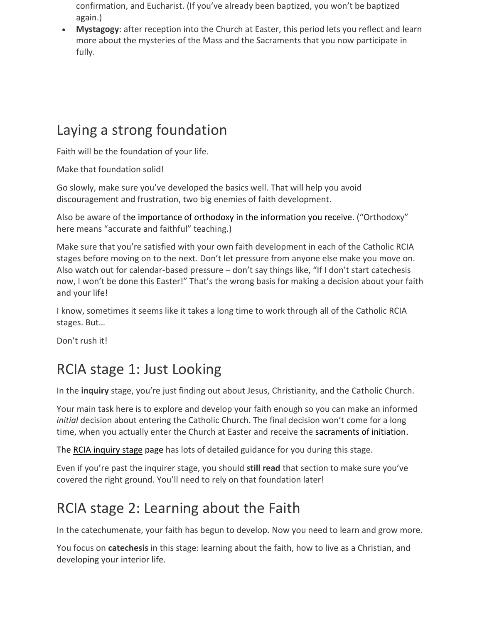confirmation, and Eucharist. (If you've already been baptized, you won't be baptized again.)

• **Mystagogy**: after reception into the Church at Easter, this period lets you reflect and learn more about the mysteries of the Mass and the Sacraments that you now participate in fully.

## Laying a strong foundation

Faith will be the foundation of your life.

Make that foundation solid!

Go slowly, make sure you've developed the basics well. That will help you avoid discouragement and frustration, two big enemies of faith development.

Also be aware of the [importance of orthodoxy](http://www.beginningcatholic.com/catholic-orthodoxy) in the information you receive. ("Orthodoxy" here means "accurate and faithful" teaching.)

Make sure that you're satisfied with your own faith development in each of the Catholic RCIA stages before moving on to the next. Don't let pressure from anyone else make you move on. Also watch out for calendar-based pressure – don't say things like, "If I don't start catechesis now, I won't be done this Easter!" That's the wrong basis for making a decision about your faith and your life!

I know, sometimes it seems like it takes a long time to work through all of the Catholic RCIA stages. But…

Don't rush it!

# RCIA stage 1: Just Looking

In the **inquiry** stage, you're just finding out about Jesus, Christianity, and the Catholic Church.

Your main task here is to explore and develop your faith enough so you can make an informed *initial* decision about entering the Catholic Church. The final decision won't come for a long time, when you actually enter the Church at Easter and receive the sacraments of initiation.

The [RCIA inquiry stage](http://www.beginningcatholic.com/rcia-inquiry-stage) page has lots of detailed guidance for you during this stage.

Even if you're past the inquirer stage, you should **still read** that section to make sure you've covered the right ground. You'll need to rely on that foundation later!

# RCIA stage 2: Learning about the Faith

In the catechumenate, your faith has begun to develop. Now you need to learn and grow more.

You focus on **catechesis** in this stage: learning about the faith, how to live as a Christian, and developing your interior life.